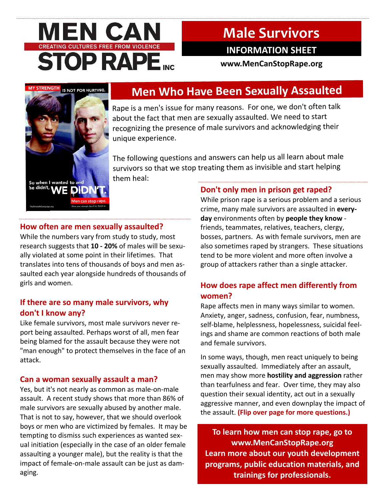

# **Male Survivors**

# **INFORMATION SHEET**

**www.MenCanStopRape.org**



# **Men Who Have Been Sexually Assaulted**

 Rape is <sup>a</sup> men's issue for many reasons. For one, we don't often talk about the fact that men are sexually assaulted. We need to start recognizing the presence of male survivors and acknowledging their unique experience.

 The following questions and answers can help us all learn about male survivors so that we stop treating them as invisible and start helping them heal:

### **Don't only men in prison get raped?**

#### **How often are men sexually assaulted?**

 While the numbers vary from study to study, most research suggests that **10 ‐ 20%** of males will be sexu‐ ally violated at some point in their lifetimes. That translates into tens of thousands of boys and men as‐ saulted each year alongside hundreds of thousands of girls and women.

### **If there are so many male survivors, why don't I know any?**

 Like female survivors, most male survivors never re‐ port being assaulted. Perhaps worst of all, men fear being blamed for the assault because they were not "man enough" to protect themselves in the face of an attack.

### **Can a woman sexually assault a man?**

 Yes, but it's not nearly as common as male‐on‐male assault. A recent study shows that more than 86% of male survivors are sexually abused by another male. That is not to say, however, that we should overlook boys or men who are victimized by females. It may be tempting to dismiss such experiences as wanted sex‐ ual initiation (especially in the case of an older female assaulting a younger male), but the reality is that the impact of female‐on‐male assault can be just as dam‐ aging.

 While prison rape is a serious problem and a serious crime, many male survivors are assaulted in **every‐ day** environments often by **people they know** ‐ friends, teammates, relatives, teachers, clergy, bosses, partners. As with female survivors, men are also sometimes raped by strangers. These situations tend to be more violent and more often involve a group of attackers rather than a single attacker.

### **How does rape affect men differently from women?**

 Rape affects men in many ways similar to women. Anxiety, anger, sadness, confusion, fear, numbness, self‐blame, helplessness, hopelessness, suicidal feel‐ ings and shame are common reactions of both male and female survivors.

 In some ways, though, men react uniquely to being sexually assaulted. Immediately after an assault,  men may show more **hostility and aggression** rather than tearfulness and fear. Over time, they may also question their sexual identity, act out in a sexually aggressive manner, and even downplay the impact of  the assault. **(Flip over page for more questions.)**

 **To learn how men can stop rape, go to www.MenCanStopRape.org Learn more about our youth development programs, public education materials, and trainings for professionals.**